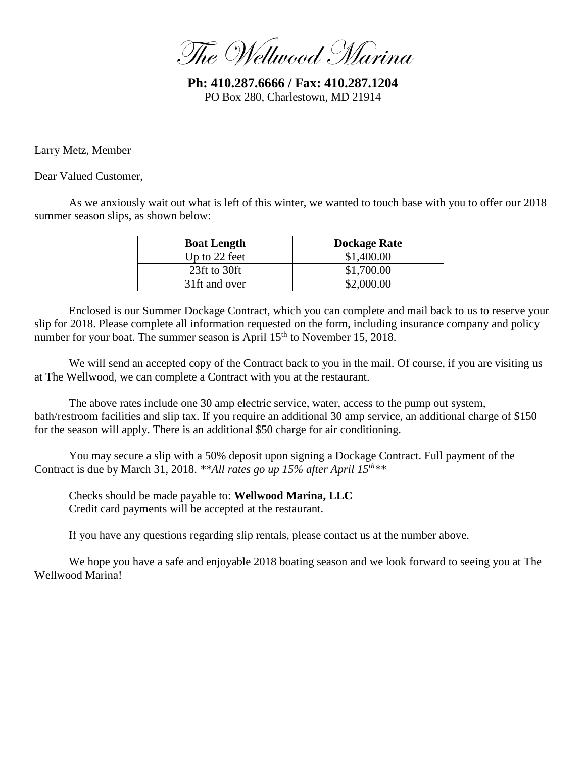The Wellwood Marina

**Ph: 410.287.6666 / Fax: 410.287.1204** PO Box 280, Charlestown, MD 21914

Larry Metz, Member

Dear Valued Customer,

As we anxiously wait out what is left of this winter, we wanted to touch base with you to offer our 2018 summer season slips, as shown below:

| <b>Boat Length</b> | <b>Dockage Rate</b> |
|--------------------|---------------------|
| Up to 22 feet      | \$1,400.00          |
| 23ft to 30ft       | \$1,700.00          |
| 31ft and over      | \$2,000.00          |

Enclosed is our Summer Dockage Contract, which you can complete and mail back to us to reserve your slip for 2018. Please complete all information requested on the form, including insurance company and policy number for your boat. The summer season is April  $15<sup>th</sup>$  to November 15, 2018.

We will send an accepted copy of the Contract back to you in the mail. Of course, if you are visiting us at The Wellwood, we can complete a Contract with you at the restaurant.

The above rates include one 30 amp electric service, water, access to the pump out system, bath/restroom facilities and slip tax. If you require an additional 30 amp service, an additional charge of \$150 for the season will apply. There is an additional \$50 charge for air conditioning.

You may secure a slip with a 50% deposit upon signing a Dockage Contract. Full payment of the Contract is due by March 31, 2018. *\*\*All rates go up 15% after April 15th\*\**

Checks should be made payable to: **Wellwood Marina, LLC** Credit card payments will be accepted at the restaurant.

If you have any questions regarding slip rentals, please contact us at the number above.

We hope you have a safe and enjoyable 2018 boating season and we look forward to seeing you at The Wellwood Marina!